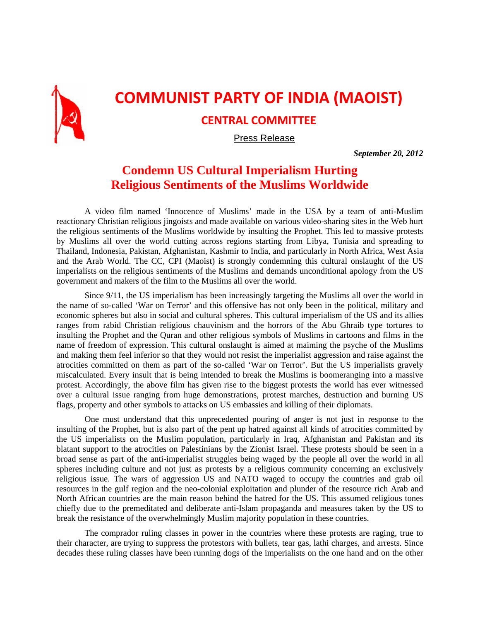

## **COMMUNIST PARTY OF INDIA (MAOIST)**

## **CENTRAL COMMITTEE**

Press Release

*September 20, 2012* 

## **Condemn US Cultural Imperialism Hurting Religious Sentiments of the Muslims Worldwide**

A video film named 'Innocence of Muslims' made in the USA by a team of anti-Muslim reactionary Christian religious jingoists and made available on various video-sharing sites in the Web hurt the religious sentiments of the Muslims worldwide by insulting the Prophet. This led to massive protests by Muslims all over the world cutting across regions starting from Libya, Tunisia and spreading to Thailand, Indonesia, Pakistan, Afghanistan, Kashmir to India, and particularly in North Africa, West Asia and the Arab World. The CC, CPI (Maoist) is strongly condemning this cultural onslaught of the US imperialists on the religious sentiments of the Muslims and demands unconditional apology from the US government and makers of the film to the Muslims all over the world.

Since 9/11, the US imperialism has been increasingly targeting the Muslims all over the world in the name of so-called 'War on Terror' and this offensive has not only been in the political, military and economic spheres but also in social and cultural spheres. This cultural imperialism of the US and its allies ranges from rabid Christian religious chauvinism and the horrors of the Abu Ghraib type tortures to insulting the Prophet and the Quran and other religious symbols of Muslims in cartoons and films in the name of freedom of expression. This cultural onslaught is aimed at maiming the psyche of the Muslims and making them feel inferior so that they would not resist the imperialist aggression and raise against the atrocities committed on them as part of the so-called 'War on Terror'. But the US imperialists gravely miscalculated. Every insult that is being intended to break the Muslims is boomeranging into a massive protest. Accordingly, the above film has given rise to the biggest protests the world has ever witnessed over a cultural issue ranging from huge demonstrations, protest marches, destruction and burning US flags, property and other symbols to attacks on US embassies and killing of their diplomats.

One must understand that this unprecedented pouring of anger is not just in response to the insulting of the Prophet, but is also part of the pent up hatred against all kinds of atrocities committed by the US imperialists on the Muslim population, particularly in Iraq, Afghanistan and Pakistan and its blatant support to the atrocities on Palestinians by the Zionist Israel. These protests should be seen in a broad sense as part of the anti-imperialist struggles being waged by the people all over the world in all spheres including culture and not just as protests by a religious community concerning an exclusively religious issue. The wars of aggression US and NATO waged to occupy the countries and grab oil resources in the gulf region and the neo-colonial exploitation and plunder of the resource rich Arab and North African countries are the main reason behind the hatred for the US. This assumed religious tones chiefly due to the premeditated and deliberate anti-Islam propaganda and measures taken by the US to break the resistance of the overwhelmingly Muslim majority population in these countries.

The comprador ruling classes in power in the countries where these protests are raging, true to their character, are trying to suppress the protestors with bullets, tear gas, lathi charges, and arrests. Since decades these ruling classes have been running dogs of the imperialists on the one hand and on the other